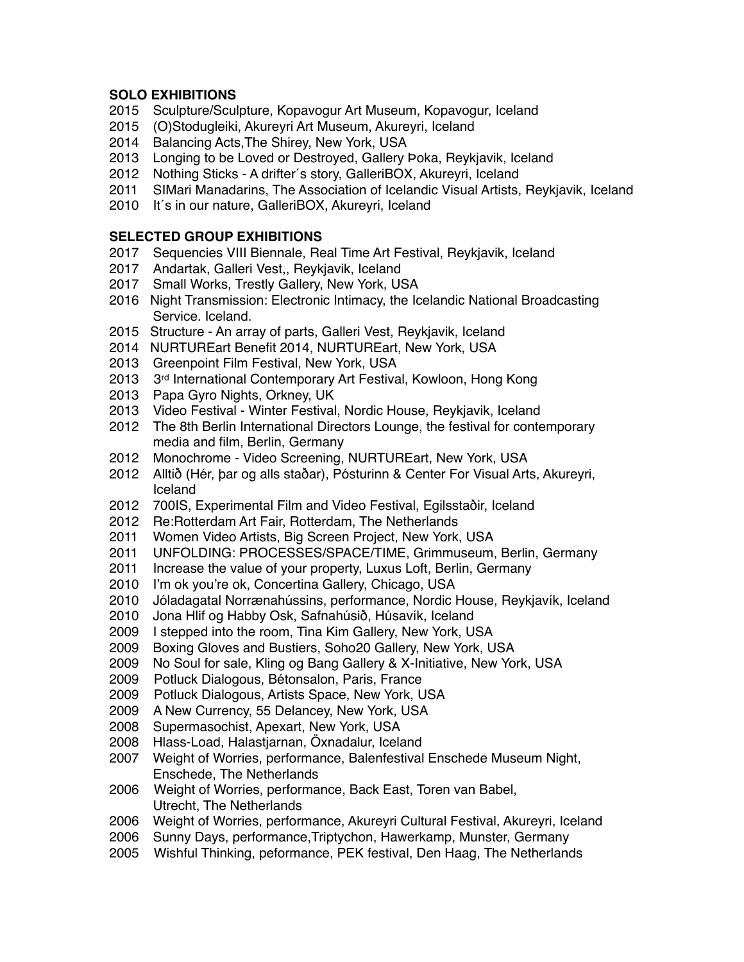# **SOLO EXHIBITIONS**

- 2015 Sculpture/Sculpture, Kopavogur Art Museum, Kopavogur, Iceland
- 2015 (O)Stodugleiki, Akureyri Art Museum, Akureyri, Iceland
- 2014 Balancing Acts,The Shirey, New York, USA
- 2013 Longing to be Loved or Destroyed, Gallery Þoka, Reykjavik, Iceland
- 2012 Nothing Sticks A drifter´s story, GalleriBOX, Akureyri, Iceland
- 2011 SIMari Manadarins, The Association of Icelandic Visual Artists, Reykjavik, Iceland
- 2010 It´s in our nature, GalleriBOX, Akureyri, Iceland

#### **SELECTED GROUP EXHIBITIONS**

- 2017 Sequencies VIII Biennale, Real Time Art Festival, Reykjavik, Iceland
- 2017 Andartak, Galleri Vest,, Reykjavik, Iceland
- 2017 Small Works, Trestly Gallery, New York, USA
- 2016 Night Transmission: Electronic Intimacy, the Icelandic National Broadcasting Service. Iceland.
- 2015 Structure An array of parts, Galleri Vest, Reykjavik, Iceland
- 2014 NURTUREart Benefit 2014, NURTUREart, New York, USA
- 2013 Greenpoint Film Festival, New York, USA
- 2013 3<sup>rd</sup> International Contemporary Art Festival, Kowloon, Hong Kong
- 2013 Papa Gyro Nights, Orkney, UK
- 2013 Video Festival Winter Festival, Nordic House, Reykjavik, Iceland
- 2012 The 8th Berlin International Directors Lounge, the festival for contemporary media and film, Berlin, Germany
- 2012 Monochrome Video Screening, NURTUREart, New York, USA
- 2012 Alltið (Hér, þar og alls staðar), Pósturinn & Center For Visual Arts, Akureyri, Iceland
- 2012 700IS, Experimental Film and Video Festival, Egilsstaðir, Iceland
- 2012 Re:Rotterdam Art Fair, Rotterdam, The Netherlands
- 2011 Women Video Artists, Big Screen Project, New York, USA
- 2011 UNFOLDING: PROCESSES/SPACE/TIME, Grimmuseum, Berlin, Germany
- 2011 Increase the value of your property, Luxus Loft, Berlin, Germany
- 2010 I'm ok you're ok, Concertina Gallery, Chicago, USA
- 2010 Jóladagatal Norrænahússins, performance, Nordic House, Reykjavík, Iceland
- 2010 Jona Hlif og Habby Osk, Safnahúsið, Húsavík, Iceland
- 2009 I stepped into the room, Tina Kim Gallery, New York, USA
- 2009 Boxing Gloves and Bustiers, Soho20 Gallery, New York, USA
- 2009 No Soul for sale, Kling og Bang Gallery & X-Initiative, New York, USA
- 2009 Potluck Dialogous, Bétonsalon, Paris, France
- 2009 Potluck Dialogous, Artists Space, New York, USA
- 2009 A New Currency, 55 Delancey, New York, USA
- 2008 Supermasochist, Apexart, New York, USA
- 2008 Hlass-Load, Halastjarnan, Öxnadalur, Iceland
- 2007 Weight of Worries, performance, Balenfestival Enschede Museum Night, Enschede, The Netherlands
- 2006 Weight of Worries, performance, Back East, Toren van Babel, Utrecht, The Netherlands
- 2006 Weight of Worries, performance, Akureyri Cultural Festival, Akureyri, Iceland
- 2006 Sunny Days, performance,Triptychon, Hawerkamp, Munster, Germany
- 2005 Wishful Thinking, peformance, PEK festival, Den Haag, The Netherlands